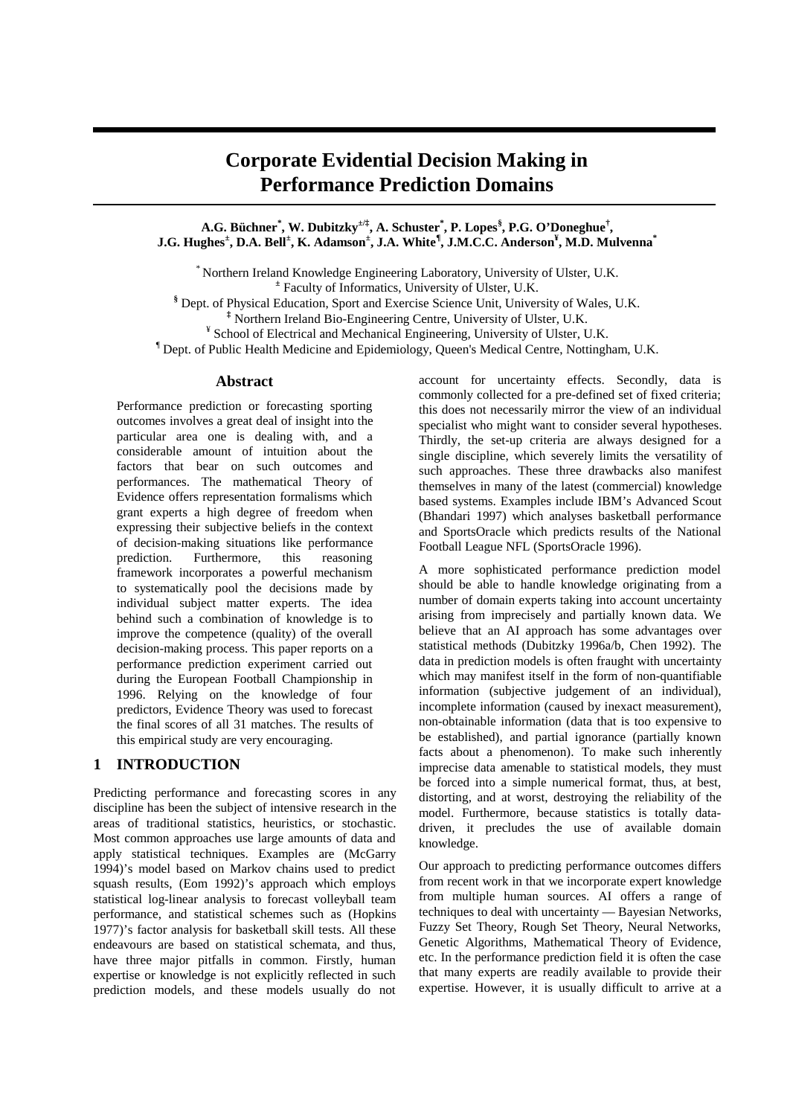# **Corporate Evidential Decision Making in Performance Prediction Domains**

**A.G. Büchner\* , W. Dubitzky±/‡, A. Schuster\* , P. Lopes§ , P.G. O'Doneghue† , J.G. Hughes<sup>±</sup> , D.A. Bell<sup>±</sup> , K. Adamson<sup>±</sup> , J.A. White¶ , J.M.C.C. Anderson¥ , M.D. Mulvenna\***

\* Northern Ireland Knowledge Engineering Laboratory, University of Ulster, U.K. **±** Faculty of Informatics, University of Ulster, U.K.

**§** Dept. of Physical Education, Sport and Exercise Science Unit, University of Wales, U.K. **‡** Northern Ireland Bio-Engineering Centre, University of Ulster, U.K.

<sup>¥</sup> School of Electrical and Mechanical Engineering, University of Ulster, U.K.

¶ Dept. of Public Health Medicine and Epidemiology, Queen's Medical Centre, Nottingham, U.K.

## **Abstract**

Performance prediction or forecasting sporting outcomes involves a great deal of insight into the particular area one is dealing with, and a considerable amount of intuition about the factors that bear on such outcomes and performances. The mathematical Theory of Evidence offers representation formalisms which grant experts a high degree of freedom when expressing their subjective beliefs in the context of decision-making situations like performance prediction. Furthermore, this reasoning framework incorporates a powerful mechanism to systematically pool the decisions made by individual subject matter experts. The idea behind such a combination of knowledge is to improve the competence (quality) of the overall decision-making process. This paper reports on a performance prediction experiment carried out during the European Football Championship in 1996. Relying on the knowledge of four predictors, Evidence Theory was used to forecast the final scores of all 31 matches. The results of this empirical study are very encouraging.

## **1 INTRODUCTION**

Predicting performance and forecasting scores in any discipline has been the subject of intensive research in the areas of traditional statistics, heuristics, or stochastic. Most common approaches use large amounts of data and apply statistical techniques. Examples are (McGarry 1994)'s model based on Markov chains used to predict squash results, (Eom 1992)'s approach which employs statistical log-linear analysis to forecast volleyball team performance, and statistical schemes such as (Hopkins 1977)'s factor analysis for basketball skill tests. All these endeavours are based on statistical schemata, and thus, have three major pitfalls in common. Firstly, human expertise or knowledge is not explicitly reflected in such prediction models, and these models usually do not

account for uncertainty effects. Secondly, data is commonly collected for a pre-defined set of fixed criteria; this does not necessarily mirror the view of an individual specialist who might want to consider several hypotheses. Thirdly, the set-up criteria are always designed for a single discipline, which severely limits the versatility of such approaches. These three drawbacks also manifest themselves in many of the latest (commercial) knowledge based systems. Examples include IBM's Advanced Scout (Bhandari 1997) which analyses basketball performance and SportsOracle which predicts results of the National Football League NFL (SportsOracle 1996).

A more sophisticated performance prediction model should be able to handle knowledge originating from a number of domain experts taking into account uncertainty arising from imprecisely and partially known data. We believe that an AI approach has some advantages over statistical methods (Dubitzky 1996a/b, Chen 1992). The data in prediction models is often fraught with uncertainty which may manifest itself in the form of non-quantifiable information (subjective judgement of an individual), incomplete information (caused by inexact measurement), non-obtainable information (data that is too expensive to be established), and partial ignorance (partially known facts about a phenomenon). To make such inherently imprecise data amenable to statistical models, they must be forced into a simple numerical format, thus, at best, distorting, and at worst, destroying the reliability of the model. Furthermore, because statistics is totally datadriven, it precludes the use of available domain knowledge.

Our approach to predicting performance outcomes differs from recent work in that we incorporate expert knowledge from multiple human sources. AI offers a range of techniques to deal with uncertainty — Bayesian Networks, Fuzzy Set Theory, Rough Set Theory, Neural Networks, Genetic Algorithms, Mathematical Theory of Evidence, etc. In the performance prediction field it is often the case that many experts are readily available to provide their expertise. However, it is usually difficult to arrive at a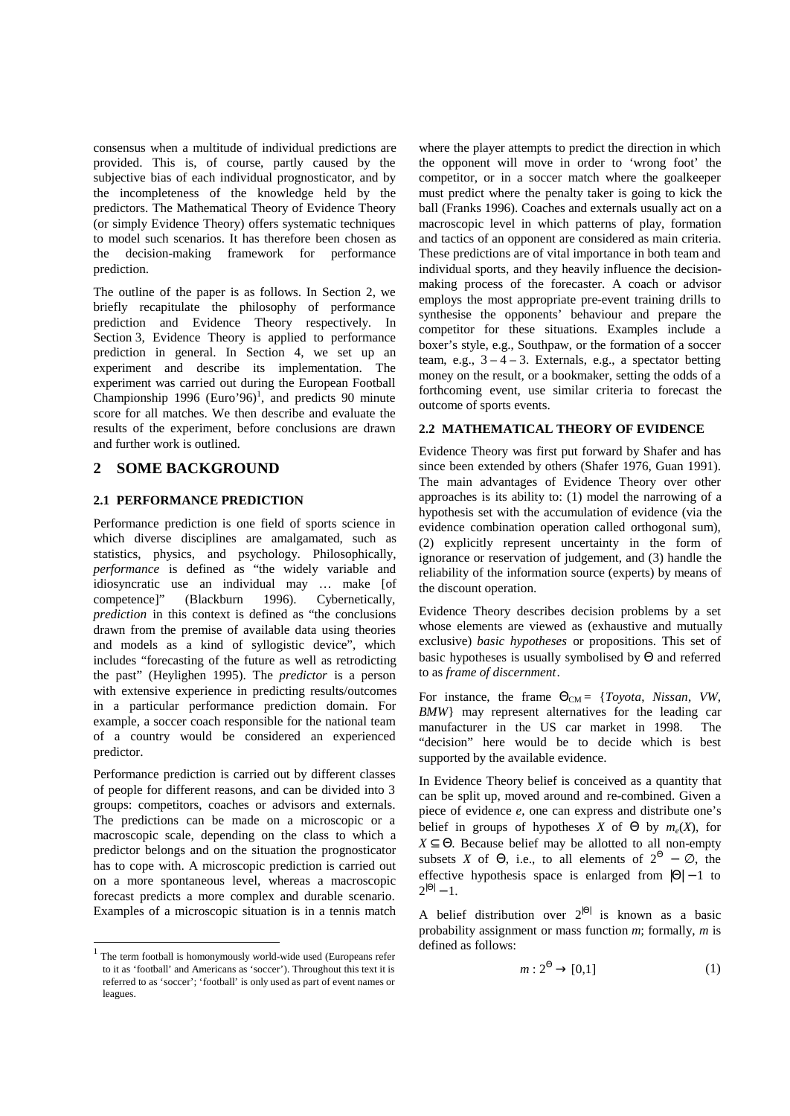consensus when a multitude of individual predictions are provided. This is, of course, partly caused by the subjective bias of each individual prognosticator, and by the incompleteness of the knowledge held by the predictors. The Mathematical Theory of Evidence Theory (or simply Evidence Theory) offers systematic techniques to model such scenarios. It has therefore been chosen as the decision-making framework for performance prediction.

The outline of the paper is as follows. In Section 2, we briefly recapitulate the philosophy of performance prediction and Evidence Theory respectively. In Section 3, Evidence Theory is applied to performance prediction in general. In Section 4, we set up an experiment and describe its implementation. The experiment was carried out during the European Football Championship 1996 (Euro'96)<sup>1</sup>, and predicts 90 minute score for all matches. We then describe and evaluate the results of the experiment, before conclusions are drawn and further work is outlined.

## **2 SOME BACKGROUND**

## **2.1 PERFORMANCE PREDICTION**

Performance prediction is one field of sports science in which diverse disciplines are amalgamated, such as statistics, physics, and psychology. Philosophically, *performance* is defined as "the widely variable and idiosyncratic use an individual may … make [of competence]" (Blackburn 1996). Cybernetically, *prediction* in this context is defined as "the conclusions drawn from the premise of available data using theories and models as a kind of syllogistic device", which includes "forecasting of the future as well as retrodicting the past" (Heylighen 1995). The *predictor* is a person with extensive experience in predicting results/outcomes in a particular performance prediction domain. For example, a soccer coach responsible for the national team of a country would be considered an experienced predictor.

Performance prediction is carried out by different classes of people for different reasons, and can be divided into 3 groups: competitors, coaches or advisors and externals. The predictions can be made on a microscopic or a macroscopic scale, depending on the class to which a predictor belongs and on the situation the prognosticator has to cope with. A microscopic prediction is carried out on a more spontaneous level, whereas a macroscopic forecast predicts a more complex and durable scenario. Examples of a microscopic situation is in a tennis match

1

where the player attempts to predict the direction in which the opponent will move in order to 'wrong foot' the competitor, or in a soccer match where the goalkeeper must predict where the penalty taker is going to kick the ball (Franks 1996). Coaches and externals usually act on a macroscopic level in which patterns of play, formation and tactics of an opponent are considered as main criteria. These predictions are of vital importance in both team and individual sports, and they heavily influence the decisionmaking process of the forecaster. A coach or advisor employs the most appropriate pre-event training drills to synthesise the opponents' behaviour and prepare the competitor for these situations. Examples include a boxer's style, e.g., Southpaw, or the formation of a soccer team, e.g.,  $3 - 4 - 3$ . Externals, e.g., a spectator betting money on the result, or a bookmaker, setting the odds of a forthcoming event, use similar criteria to forecast the outcome of sports events.

## **2.2 MATHEMATICAL THEORY OF EVIDENCE**

Evidence Theory was first put forward by Shafer and has since been extended by others (Shafer 1976, Guan 1991). The main advantages of Evidence Theory over other approaches is its ability to: (1) model the narrowing of a hypothesis set with the accumulation of evidence (via the evidence combination operation called orthogonal sum), (2) explicitly represent uncertainty in the form of ignorance or reservation of judgement, and (3) handle the reliability of the information source (experts) by means of the discount operation.

Evidence Theory describes decision problems by a set whose elements are viewed as (exhaustive and mutually exclusive) *basic hypotheses* or propositions. This set of basic hypotheses is usually symbolised by Θ and referred to as *frame of discernment*.

For instance, the frame  $\Theta_{CM} = \{Toyota, Nissan, VW,$ *BMW*} may represent alternatives for the leading car manufacturer in the US car market in 1998. The "decision" here would be to decide which is best supported by the available evidence.

In Evidence Theory belief is conceived as a quantity that can be split up, moved around and re-combined. Given a piece of evidence *e*, one can express and distribute one's belief in groups of hypotheses *X* of  $\Theta$  by  $m_e(X)$ , for  $X \subseteq \Theta$ . Because belief may be allotted to all non-empty subsets *X* of  $\Theta$ , i.e., to all elements of  $2^{\Theta} - \emptyset$ , the effective hypothesis space is enlarged from  $|\Theta| - 1$  to  $2^{|\Theta|} - 1.$ 

A belief distribution over  $2^{|\Theta|}$  is known as a basic probability assignment or mass function *m*; formally, *m* is defined as follows:

$$
m: 2^{\Theta} \to [0,1] \tag{1}
$$

<sup>&</sup>lt;sup>1</sup> The term football is homonymously world-wide used (Europeans refer to it as 'football' and Americans as 'soccer'). Throughout this text it is referred to as 'soccer'; 'football' is only used as part of event names or leagues.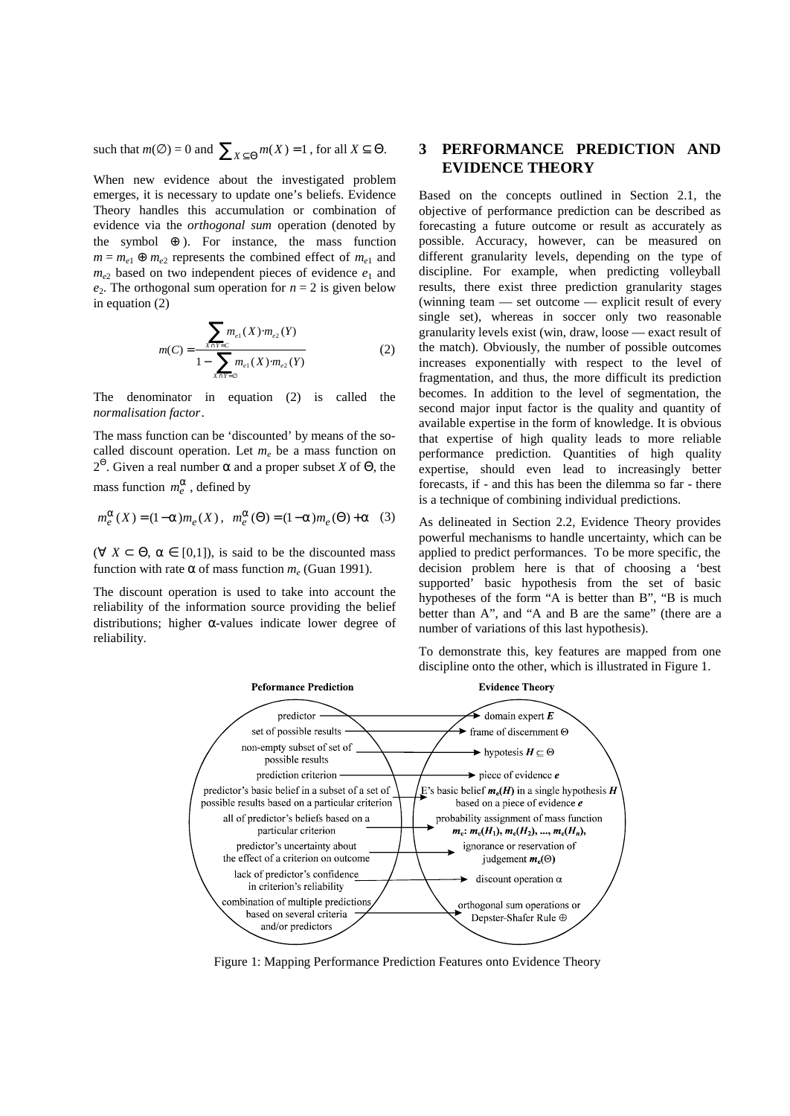such that  $m(\emptyset) = 0$  and  $\sum_{X \subseteq \Theta} m(X) = 1$ , for all  $X \subseteq \Theta$ .

When new evidence about the investigated problem emerges, it is necessary to update one's beliefs. Evidence Theory handles this accumulation or combination of evidence via the *orthogonal sum* operation (denoted by the symbol  $\oplus$ ). For instance, the mass function  $m = m_{e1} \oplus m_{e2}$  represents the combined effect of  $m_{e1}$  and  $m_{e2}$  based on two independent pieces of evidence  $e_1$  and  $e_2$ . The orthogonal sum operation for  $n = 2$  is given below in equation (2)

$$
m(C) = \frac{\sum_{X \cap Y = C} m_{e1}(X) \cdot m_{e2}(Y)}{1 - \sum_{X \cap Y = \emptyset} m_{e1}(X) \cdot m_{e2}(Y)}
$$
(2)

The denominator in equation (2) is called the *normalisation factor*.

The mass function can be 'discounted' by means of the socalled discount operation. Let  $m_e$  be a mass function on 2 Θ . Given a real number α and a proper subset *X* of Θ, the mass function  $m_e^a$ , defined by

$$
m_e^a(X)\!=\!(1\!-\!a)m_e(X)\,,\ \, m_e^a(\Theta)\!=\!(1\!-\!a)m_e(\Theta)\!+\!a\ \ \, (3)
$$

( $\forall$  *X*  $\subset$   $\Theta$ ,  $\alpha \in$  [0,1]), is said to be the discounted mass function with rate  $\alpha$  of mass function  $m_e$  (Guan 1991).

The discount operation is used to take into account the reliability of the information source providing the belief distributions; higher α-values indicate lower degree of reliability.

## **3 PERFORMANCE PREDICTION AND EVIDENCE THEORY**

Based on the concepts outlined in Section 2.1, the objective of performance prediction can be described as forecasting a future outcome or result as accurately as possible. Accuracy, however, can be measured on different granularity levels, depending on the type of discipline. For example, when predicting volleyball results, there exist three prediction granularity stages (winning team — set outcome — explicit result of every single set), whereas in soccer only two reasonable granularity levels exist (win, draw, loose — exact result of the match). Obviously, the number of possible outcomes increases exponentially with respect to the level of fragmentation, and thus, the more difficult its prediction becomes. In addition to the level of segmentation, the second major input factor is the quality and quantity of available expertise in the form of knowledge. It is obvious that expertise of high quality leads to more reliable performance prediction. Quantities of high quality expertise, should even lead to increasingly better forecasts, if - and this has been the dilemma so far - there is a technique of combining individual predictions.

As delineated in Section 2.2, Evidence Theory provides powerful mechanisms to handle uncertainty, which can be applied to predict performances. To be more specific, the decision problem here is that of choosing a 'best supported' basic hypothesis from the set of basic hypotheses of the form "A is better than B", "B is much better than A", and "A and B are the same" (there are a number of variations of this last hypothesis).

To demonstrate this, key features are mapped from one discipline onto the other, which is illustrated in Figure 1.



Figure 1: Mapping Performance Prediction Features onto Evidence Theory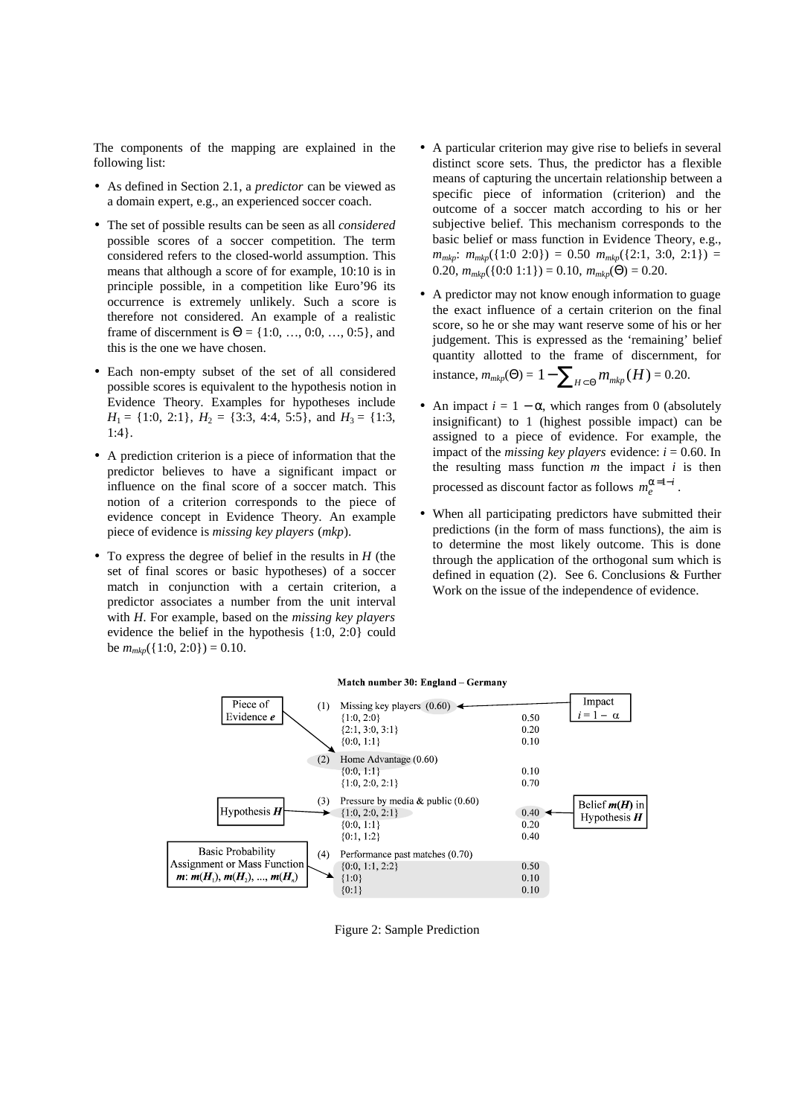The components of the mapping are explained in the following list:

- As defined in Section 2.1, a *predictor* can be viewed as a domain expert, e.g., an experienced soccer coach.
- The set of possible results can be seen as all *considered* possible scores of a soccer competition. The term considered refers to the closed-world assumption. This means that although a score of for example, 10:10 is in principle possible, in a competition like Euro'96 its occurrence is extremely unlikely. Such a score is therefore not considered. An example of a realistic frame of discernment is  $\Theta = \{1:0, ..., 0:0, ..., 0:5\}$ , and this is the one we have chosen.
- Each non-empty subset of the set of all considered possible scores is equivalent to the hypothesis notion in Evidence Theory. Examples for hypotheses include  $H_1 = \{1:0, 2:1\}, H_2 = \{3:3, 4:4, 5:5\}, \text{ and } H_3 = \{1:3,$ 1:4}.
- A prediction criterion is a piece of information that the predictor believes to have a significant impact or influence on the final score of a soccer match. This notion of a criterion corresponds to the piece of evidence concept in Evidence Theory. An example piece of evidence is *missing key players* (*mkp*).
- To express the degree of belief in the results in *H* (the set of final scores or basic hypotheses) of a soccer match in conjunction with a certain criterion, a predictor associates a number from the unit interval with *H*. For example, based on the *missing key players* evidence the belief in the hypothesis {1:0, 2:0} could be  $m_{mkp}({1:0, 2:0}) = 0.10$ .
- A particular criterion may give rise to beliefs in several distinct score sets. Thus, the predictor has a flexible means of capturing the uncertain relationship between a specific piece of information (criterion) and the outcome of a soccer match according to his or her subjective belief. This mechanism corresponds to the basic belief or mass function in Evidence Theory, e.g.,  $m_{mkp}$ :  $m_{mkp}({1:0 2:0}) = 0.50 m_{mkp}({2:1, 3:0, 2:1}) =$ 0.20,  $m_{mkn}({0:0 1:1}) = 0.10$ ,  $m_{mkn}(\Theta) = 0.20$ .
- A predictor may not know enough information to guage the exact influence of a certain criterion on the final score, so he or she may want reserve some of his or her judgement. This is expressed as the 'remaining' belief quantity allotted to the frame of discernment, for instance,  $m_{mkp}(\Theta) = 1 - \sum_{H \subset \Theta} m_{mkp}(H) = 0.20$ .
- An impact  $i = 1 \alpha$ , which ranges from 0 (absolutely insignificant) to 1 (highest possible impact) can be assigned to a piece of evidence. For example, the impact of the *missing* key players evidence:  $i = 0.60$ . In the resulting mass function  $m$  the impact  $i$  is then processed as discount factor as follows  $m_e^{a=1-i}$ .
- When all participating predictors have submitted their predictions (in the form of mass functions), the aim is to determine the most likely outcome. This is done through the application of the orthogonal sum which is defined in equation (2). See 6. Conclusions & Further Work on the issue of the independence of evidence.





Figure 2: Sample Prediction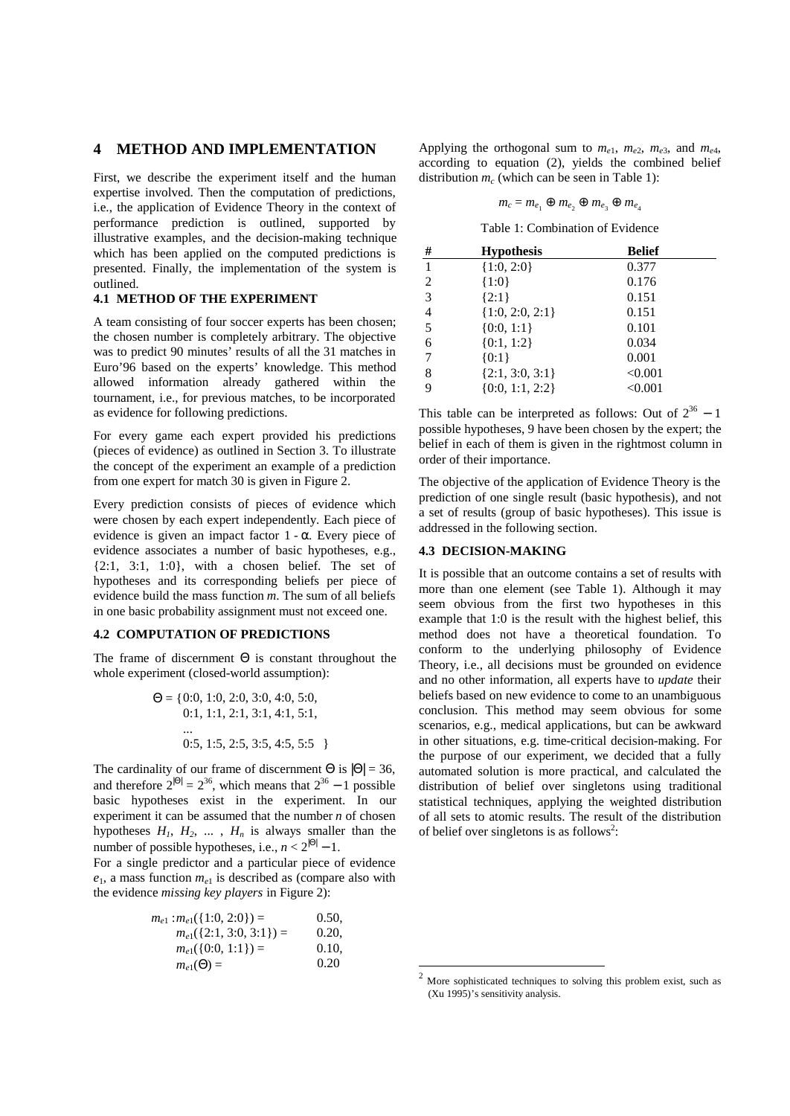## **4 METHOD AND IMPLEMENTATION**

First, we describe the experiment itself and the human expertise involved. Then the computation of predictions, i.e., the application of Evidence Theory in the context of performance prediction is outlined, supported by illustrative examples, and the decision-making technique which has been applied on the computed predictions is presented. Finally, the implementation of the system is outlined.

## **4.1 METHOD OF THE EXPERIMENT**

A team consisting of four soccer experts has been chosen; the chosen number is completely arbitrary. The objective was to predict 90 minutes' results of all the 31 matches in Euro'96 based on the experts' knowledge. This method allowed information already gathered within the tournament, i.e., for previous matches, to be incorporated as evidence for following predictions.

For every game each expert provided his predictions (pieces of evidence) as outlined in Section 3. To illustrate the concept of the experiment an example of a prediction from one expert for match 30 is given in Figure 2.

Every prediction consists of pieces of evidence which were chosen by each expert independently. Each piece of evidence is given an impact factor  $1 - \alpha$ . Every piece of evidence associates a number of basic hypotheses, e.g.,  $\{2:1, 3:1, 1:0\}$ , with a chosen belief. The set of hypotheses and its corresponding beliefs per piece of evidence build the mass function *m*. The sum of all beliefs in one basic probability assignment must not exceed one.

#### **4.2 COMPUTATION OF PREDICTIONS**

The frame of discernment  $\Theta$  is constant throughout the whole experiment (closed-world assumption):

$$
\Theta = \{0:0, 1:0, 2:0, 3:0, 4:0, 5:0, 0:1, 1:1, 2:1, 3:1, 4:1, 5:1, \dots
$$
  
0:5, 1:5, 2:5, 3:5, 4:5, 5:5 \}

The cardinality of our frame of discernment  $\Theta$  is  $|\Theta| = 36$ , and therefore  $2^{|\Theta|} = 2^{36}$ , which means that  $2^{36} - 1$  possible basic hypotheses exist in the experiment. In our experiment it can be assumed that the number *n* of chosen hypotheses  $H_1$ ,  $H_2$ , ...,  $H_n$  is always smaller than the number of possible hypotheses, i.e.,  $n < 2^{|\Theta|} - 1$ .

For a single predictor and a particular piece of evidence  $e_1$ , a mass function  $m_{e_1}$  is described as (compare also with the evidence *missing key players* in Figure 2):

| $m_{e1}$ : $m_{e1}$ ({1:0, 2:0}) = | 0.50. |
|------------------------------------|-------|
| $m_{e1}({2:1, 3:0, 3:1}) =$        | 0.20. |
| $m_{e1}(\{0:0, 1:1\}) =$           | 0.10. |
| $m_{e1}(\Theta) =$                 | 0.20  |

Applying the orthogonal sum to  $m_{e1}$ ,  $m_{e2}$ ,  $m_{e3}$ , and  $m_{e4}$ , according to equation (2), yields the combined belief distribution  $m_c$  (which can be seen in Table 1):

$$
m_c = m_{e_1} \oplus m_{e_2} \oplus m_{e_3} \oplus m_{e_4}
$$

Table 1: Combination of Evidence

| # | <b>Hypothesis</b>   | <b>Belief</b> |
|---|---------------------|---------------|
| 1 | ${1:0, 2:0}$        | 0.377         |
| 2 | ${1:0}$             | 0.176         |
| 3 | ${2:1}$             | 0.151         |
| 4 | ${1:0, 2:0, 2:1}$   | 0.151         |
| 5 | ${0:0, 1:1}$        | 0.101         |
| 6 | ${0:1, 1:2}$        | 0.034         |
| 7 | ${0:1}$             | 0.001         |
| 8 | ${2:1, 3:0, 3:1}$   | < 0.001       |
| 9 | $\{0:0, 1:1, 2:2\}$ | < 0.001       |

This table can be interpreted as follows: Out of  $2^{36} - 1$ possible hypotheses, 9 have been chosen by the expert; the belief in each of them is given in the rightmost column in order of their importance.

The objective of the application of Evidence Theory is the prediction of one single result (basic hypothesis), and not a set of results (group of basic hypotheses). This issue is addressed in the following section.

## **4.3 DECISION-MAKING**

It is possible that an outcome contains a set of results with more than one element (see Table 1). Although it may seem obvious from the first two hypotheses in this example that 1:0 is the result with the highest belief, this method does not have a theoretical foundation. To conform to the underlying philosophy of Evidence Theory, i.e., all decisions must be grounded on evidence and no other information, all experts have to *update* their beliefs based on new evidence to come to an unambiguous conclusion. This method may seem obvious for some scenarios, e.g., medical applications, but can be awkward in other situations, e.g. time-critical decision-making. For the purpose of our experiment, we decided that a fully automated solution is more practical, and calculated the distribution of belief over singletons using traditional statistical techniques, applying the weighted distribution of all sets to atomic results. The result of the distribution of belief over singletons is as follows<sup>2</sup>:

 $\overline{a}$ 

<sup>2</sup> More sophisticated techniques to solving this problem exist, such as (Xu 1995)'s sensitivity analysis.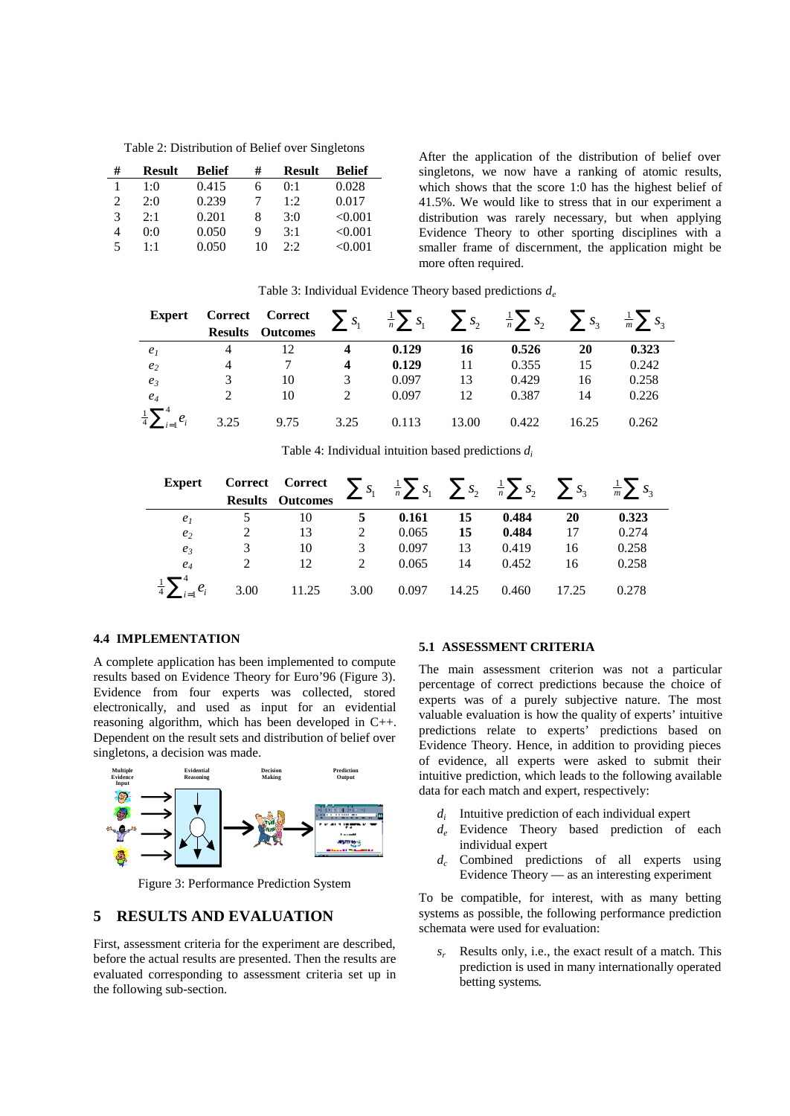Table 2: Distribution of Belief over Singletons

| # | <b>Result</b> | Belief | #  | <b>Result</b> | Belief  |
|---|---------------|--------|----|---------------|---------|
|   | 1:0           | 0.415  | 6  | 0:1           | 0.028   |
| 2 | 2:0           | 0.239  |    | 1:2           | 0.017   |
| 3 | 2:1           | 0.201  | 8  | 3:0           | < 0.001 |
| 4 | 0:0           | 0.050  | 9  | 3:1           | < 0.001 |
| 5 | $1 \cdot 1$   | 0.050  | 10 | 2.2           | < 0.001 |

After the application of the distribution of belief over singletons, we now have a ranking of atomic results, which shows that the score 1:0 has the highest belief of 41.5%. We would like to stress that in our experiment a distribution was rarely necessary, but when applying Evidence Theory to other sporting disciplines with a smaller frame of discernment, the application might be more often required.

| <b>Expert</b>                  |      | <b>Correct</b> Correct $\sum s_1 = \frac{1}{n} \sum s_1$ $\sum s_2 = \frac{1}{n} \sum s_2$ $\sum s_3 = \frac{1}{m} \sum s_3$ |      |       |       |       |       |       |
|--------------------------------|------|------------------------------------------------------------------------------------------------------------------------------|------|-------|-------|-------|-------|-------|
|                                |      | <b>Results</b> Outcomes                                                                                                      |      |       |       |       |       |       |
| e <sub>1</sub>                 | 4    | 12                                                                                                                           |      | 0.129 | 16    | 0.526 | 20    | 0.323 |
| e <sub>2</sub>                 | 4    |                                                                                                                              | 4    | 0.129 | 11    | 0.355 | 15    | 0.242 |
| $e_3$                          |      | 10                                                                                                                           |      | 0.097 | 13    | 0.429 | 16    | 0.258 |
| $e_4$                          | ∍    | 10                                                                                                                           |      | 0.097 | 12    | 0.387 | 14    | 0.226 |
| $\frac{1}{4}\sum_{i=1}^{4}e_i$ | 3.25 | 9.75                                                                                                                         | 3.25 | 0.113 | 13.00 | 0.422 | 16.25 | 0.262 |

Table 3: Individual Evidence Theory based predictions *d<sup>e</sup>*

|  |  |  |  | Table 4: Individual intuition based predictions $d_i$ |  |
|--|--|--|--|-------------------------------------------------------|--|
|--|--|--|--|-------------------------------------------------------|--|

| <b>Expert</b>                  |      | <b>Correct</b> Correct $\sum s_1 = \frac{1}{n} \sum s_1$ $\sum s_2 = \frac{1}{n} \sum s_2$ $\sum s_3 = \frac{1}{m} \sum s_3$ |                             |       |       |       |       |       |
|--------------------------------|------|------------------------------------------------------------------------------------------------------------------------------|-----------------------------|-------|-------|-------|-------|-------|
|                                |      | <b>Results</b> Outcomes                                                                                                      |                             |       |       |       |       |       |
| e <sub>1</sub>                 |      | 10                                                                                                                           | 5                           | 0.161 | 15    | 0.484 | 20    | 0.323 |
| e <sub>2</sub>                 |      | 13                                                                                                                           | 2                           | 0.065 | 15    | 0.484 | 17    | 0.274 |
| $e_3$                          |      | 10                                                                                                                           | 3                           | 0.097 | 13    | 0.419 | 16    | 0.258 |
| $e_4$                          |      | 12 <sub>1</sub>                                                                                                              | $\mathcal{D}_{\mathcal{L}}$ | 0.065 | 14    | 0.452 | 16    | 0.258 |
| $\frac{1}{4}\sum_{i=1}^{4}e_i$ | 3.00 | 11.25                                                                                                                        | 3.00                        | 0.097 | 14.25 | 0.460 | 17.25 | 0.278 |

#### **4.4 IMPLEMENTATION**

A complete application has been implemented to compute results based on Evidence Theory for Euro'96 (Figure 3). Evidence from four experts was collected, stored electronically, and used as input for an evidential reasoning algorithm, which has been developed in C++. Dependent on the result sets and distribution of belief over singletons, a decision was made.



Figure 3: Performance Prediction System

## **5 RESULTS AND EVALUATION**

First, assessment criteria for the experiment are described, before the actual results are presented. Then the results are evaluated corresponding to assessment criteria set up in the following sub-section.

#### **5.1 ASSESSMENT CRITERIA**

The main assessment criterion was not a particular percentage of correct predictions because the choice of experts was of a purely subjective nature. The most valuable evaluation is how the quality of experts' intuitive predictions relate to experts' predictions based on Evidence Theory. Hence, in addition to providing pieces of evidence, all experts were asked to submit their intuitive prediction, which leads to the following available data for each match and expert, respectively:

- *d<sup>i</sup>* Intuitive prediction of each individual expert
- *d<sup>e</sup>* Evidence Theory based prediction of each individual expert
- *d<sup>c</sup>* Combined predictions of all experts using Evidence Theory — as an interesting experiment

To be compatible, for interest, with as many betting systems as possible, the following performance prediction schemata were used for evaluation:

*s<sup>r</sup>* Results only, i.e., the exact result of a match. This prediction is used in many internationally operated betting systems*.*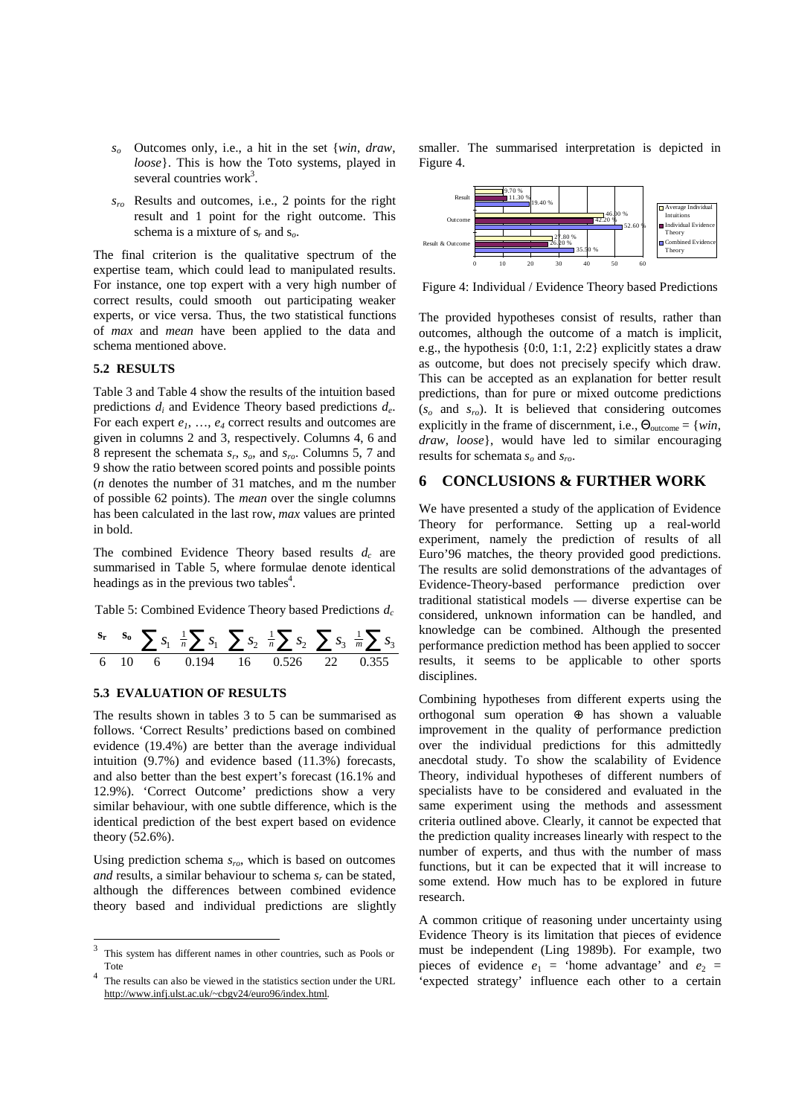- *s<sup>o</sup>* Outcomes only, i.e., a hit in the set {*win*, *draw*, *loose*}. This is how the Toto systems, played in several countries work<sup>3</sup>.
- *sro* Results and outcomes, i.e., 2 points for the right result and 1 point for the right outcome. This schema is a mixture of  $s_r$  and  $s_o$ .

The final criterion is the qualitative spectrum of the expertise team, which could lead to manipulated results. For instance, one top expert with a very high number of correct results, could smooth out participating weaker experts, or vice versa. Thus, the two statistical functions of *max* and *mean* have been applied to the data and schema mentioned above.

## **5.2 RESULTS**

Table 3 and Table 4 show the results of the intuition based predictions *d<sup>i</sup>* and Evidence Theory based predictions *d<sup>e</sup>* . For each expert *e1*, …, *e<sup>4</sup>* correct results and outcomes are given in columns 2 and 3, respectively. Columns 4, 6 and 8 represent the schemata *s<sup>r</sup>* , *so*, and *sro*. Columns 5, 7 and 9 show the ratio between scored points and possible points (*n* denotes the number of 31 matches, and m the number of possible 62 points). The *mean* over the single columns has been calculated in the last row, *max* values are printed in bold.

The combined Evidence Theory based results *d<sup>c</sup>* are summarised in Table 5, where formulae denote identical headings as in the previous two tables<sup>4</sup>.

Table 5: Combined Evidence Theory based Predictions *d<sup>c</sup>*

$$
\begin{array}{ccccccccc}\n\mathbf{s}_r & \mathbf{s}_0 & \sum s_1 & \frac{1}{n} \sum s_1 & \sum s_2 & \frac{1}{n} \sum s_2 & \sum s_3 & \frac{1}{m} \sum s_3 \\
\hline\n6 & 10 & 6 & 0.194 & 16 & 0.526 & 22 & 0.355\n\end{array}
$$

## **5.3 EVALUATION OF RESULTS**

The results shown in tables 3 to 5 can be summarised as follows. 'Correct Results' predictions based on combined evidence (19.4%) are better than the average individual intuition (9.7%) and evidence based (11.3%) forecasts, and also better than the best expert's forecast (16.1% and 12.9%). 'Correct Outcome' predictions show a very similar behaviour, with one subtle difference, which is the identical prediction of the best expert based on evidence theory (52.6%).

Using prediction schema *sro*, which is based on outcomes *and* results, a similar behaviour to schema *s<sup>r</sup>* can be stated, although the differences between combined evidence theory based and individual predictions are slightly

smaller. The summarised interpretation is depicted in Figure 4.



Figure 4: Individual / Evidence Theory based Predictions

The provided hypotheses consist of results, rather than outcomes, although the outcome of a match is implicit, e.g., the hypothesis {0:0, 1:1, 2:2} explicitly states a draw as outcome, but does not precisely specify which draw. This can be accepted as an explanation for better result predictions, than for pure or mixed outcome predictions  $(s_0$  and  $s_n$ ). It is believed that considering outcomes explicitly in the frame of discernment, i.e.,  $\Theta_{\text{outcome}} = \{win,$ *draw*, *loose*}, would have led to similar encouraging results for schemata *so* and *sro*.

## **6 CONCLUSIONS & FURTHER WORK**

We have presented a study of the application of Evidence Theory for performance. Setting up a real-world experiment, namely the prediction of results of all Euro'96 matches, the theory provided good predictions. The results are solid demonstrations of the advantages of Evidence-Theory-based performance prediction over traditional statistical models — diverse expertise can be considered, unknown information can be handled, and knowledge can be combined. Although the presented performance prediction method has been applied to soccer results, it seems to be applicable to other sports disciplines.

Combining hypotheses from different experts using the orthogonal sum operation  $oplus$  has shown a valuable improvement in the quality of performance prediction over the individual predictions for this admittedly anecdotal study. To show the scalability of Evidence Theory, individual hypotheses of different numbers of specialists have to be considered and evaluated in the same experiment using the methods and assessment criteria outlined above. Clearly, it cannot be expected that the prediction quality increases linearly with respect to the number of experts, and thus with the number of mass functions, but it can be expected that it will increase to some extend. How much has to be explored in future research.

A common critique of reasoning under uncertainty using Evidence Theory is its limitation that pieces of evidence must be independent (Ling 1989b). For example, two pieces of evidence  $e_1$  = 'home advantage' and  $e_2$  = 'expected strategy' influence each other to a certain

 $\frac{1}{3}$ This system has different names in other countries, such as Pools or Tote

<sup>&</sup>lt;sup>4</sup> The results can also be viewed in the statistics section under the URL <http://www.infj.ulst.ac.uk/~cbgv24/euro96/index.html>.